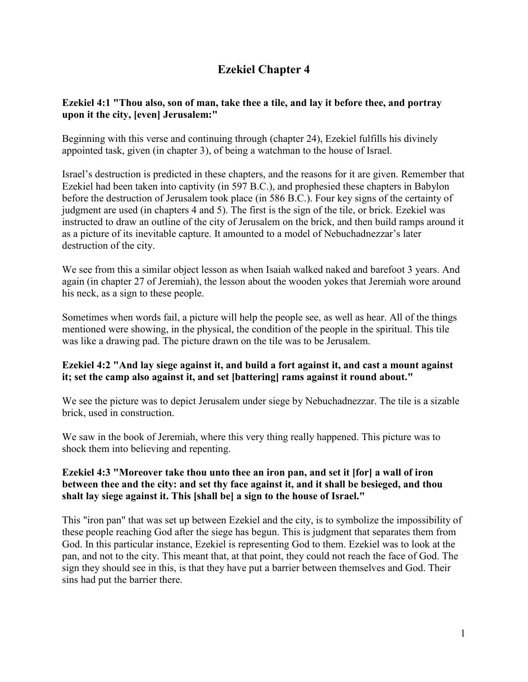# **Ezekiel Chapter 4**

# **Ezekiel 4:1 "Thou also, son of man, take thee a tile, and lay it before thee, and portray upon it the city, [even] Jerusalem:"**

Beginning with this verse and continuing through (chapter 24), Ezekiel fulfills his divinely appointed task, given (in chapter 3), of being a watchman to the house of Israel.

Israel's destruction is predicted in these chapters, and the reasons for it are given. Remember that Ezekiel had been taken into captivity (in 597 B.C.), and prophesied these chapters in Babylon before the destruction of Jerusalem took place (in 586 B.C.). Four key signs of the certainty of judgment are used (in chapters 4 and 5). The first is the sign of the tile, or brick. Ezekiel was instructed to draw an outline of the city of Jerusalem on the brick, and then build ramps around it as a picture of its inevitable capture. It amounted to a model of Nebuchadnezzar's later destruction of the city.

We see from this a similar object lesson as when Isaiah walked naked and barefoot 3 years. And again (in chapter 27 of Jeremiah), the lesson about the wooden yokes that Jeremiah wore around his neck, as a sign to these people.

Sometimes when words fail, a picture will help the people see, as well as hear. All of the things mentioned were showing, in the physical, the condition of the people in the spiritual. This tile was like a drawing pad. The picture drawn on the tile was to be Jerusalem.

# **Ezekiel 4:2 "And lay siege against it, and build a fort against it, and cast a mount against it; set the camp also against it, and set [battering] rams against it round about."**

We see the picture was to depict Jerusalem under siege by Nebuchadnezzar. The tile is a sizable brick, used in construction.

We saw in the book of Jeremiah, where this very thing really happened. This picture was to shock them into believing and repenting.

# **Ezekiel 4:3 "Moreover take thou unto thee an iron pan, and set it [for] a wall of iron between thee and the city: and set thy face against it, and it shall be besieged, and thou shalt lay siege against it. This [shall be] a sign to the house of Israel."**

This "iron pan" that was set up between Ezekiel and the city, is to symbolize the impossibility of these people reaching God after the siege has begun. This is judgment that separates them from God. In this particular instance, Ezekiel is representing God to them. Ezekiel was to look at the pan, and not to the city. This meant that, at that point, they could not reach the face of God. The sign they should see in this, is that they have put a barrier between themselves and God. Their sins had put the barrier there.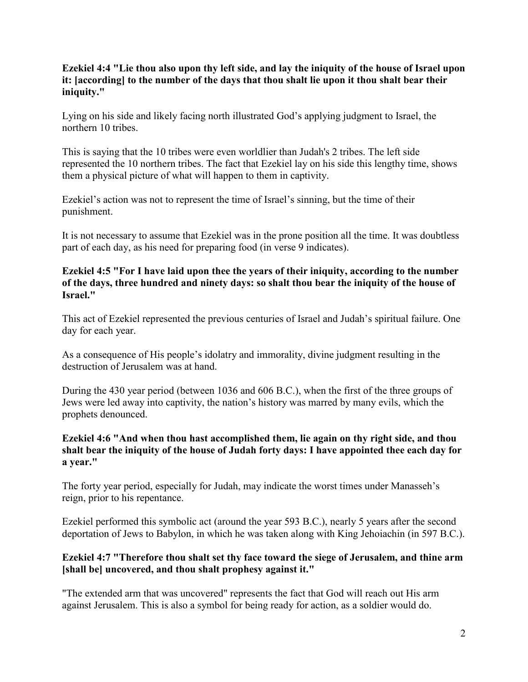# **Ezekiel 4:4 "Lie thou also upon thy left side, and lay the iniquity of the house of Israel upon it: [according] to the number of the days that thou shalt lie upon it thou shalt bear their iniquity."**

Lying on his side and likely facing north illustrated God's applying judgment to Israel, the northern 10 tribes.

This is saying that the 10 tribes were even worldlier than Judah's 2 tribes. The left side represented the 10 northern tribes. The fact that Ezekiel lay on his side this lengthy time, shows them a physical picture of what will happen to them in captivity.

Ezekiel's action was not to represent the time of Israel's sinning, but the time of their punishment.

It is not necessary to assume that Ezekiel was in the prone position all the time. It was doubtless part of each day, as his need for preparing food (in verse 9 indicates).

### **Ezekiel 4:5 "For I have laid upon thee the years of their iniquity, according to the number of the days, three hundred and ninety days: so shalt thou bear the iniquity of the house of Israel."**

This act of Ezekiel represented the previous centuries of Israel and Judah's spiritual failure. One day for each year.

As a consequence of His people's idolatry and immorality, divine judgment resulting in the destruction of Jerusalem was at hand.

During the 430 year period (between 1036 and 606 B.C.), when the first of the three groups of Jews were led away into captivity, the nation's history was marred by many evils, which the prophets denounced.

# **Ezekiel 4:6 "And when thou hast accomplished them, lie again on thy right side, and thou shalt bear the iniquity of the house of Judah forty days: I have appointed thee each day for a year."**

The forty year period, especially for Judah, may indicate the worst times under Manasseh's reign, prior to his repentance.

Ezekiel performed this symbolic act (around the year 593 B.C.), nearly 5 years after the second deportation of Jews to Babylon, in which he was taken along with King Jehoiachin (in 597 B.C.).

# **Ezekiel 4:7 "Therefore thou shalt set thy face toward the siege of Jerusalem, and thine arm [shall be] uncovered, and thou shalt prophesy against it."**

"The extended arm that was uncovered" represents the fact that God will reach out His arm against Jerusalem. This is also a symbol for being ready for action, as a soldier would do.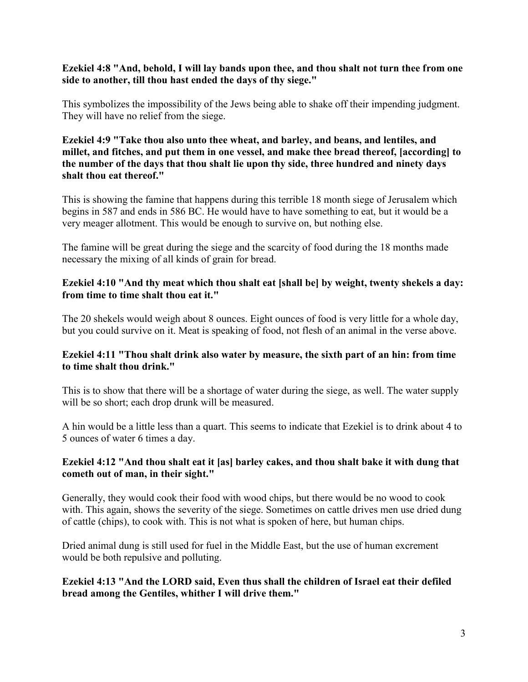#### **Ezekiel 4:8 "And, behold, I will lay bands upon thee, and thou shalt not turn thee from one side to another, till thou hast ended the days of thy siege."**

This symbolizes the impossibility of the Jews being able to shake off their impending judgment. They will have no relief from the siege.

**Ezekiel 4:9 "Take thou also unto thee wheat, and barley, and beans, and lentiles, and millet, and fitches, and put them in one vessel, and make thee bread thereof, [according] to the number of the days that thou shalt lie upon thy side, three hundred and ninety days shalt thou eat thereof."**

This is showing the famine that happens during this terrible 18 month siege of Jerusalem which begins in 587 and ends in 586 BC. He would have to have something to eat, but it would be a very meager allotment. This would be enough to survive on, but nothing else.

The famine will be great during the siege and the scarcity of food during the 18 months made necessary the mixing of all kinds of grain for bread.

## **Ezekiel 4:10 "And thy meat which thou shalt eat [shall be] by weight, twenty shekels a day: from time to time shalt thou eat it."**

The 20 shekels would weigh about 8 ounces. Eight ounces of food is very little for a whole day, but you could survive on it. Meat is speaking of food, not flesh of an animal in the verse above.

# **Ezekiel 4:11 "Thou shalt drink also water by measure, the sixth part of an hin: from time to time shalt thou drink."**

This is to show that there will be a shortage of water during the siege, as well. The water supply will be so short; each drop drunk will be measured.

A hin would be a little less than a quart. This seems to indicate that Ezekiel is to drink about 4 to 5 ounces of water 6 times a day.

# **Ezekiel 4:12 "And thou shalt eat it [as] barley cakes, and thou shalt bake it with dung that cometh out of man, in their sight."**

Generally, they would cook their food with wood chips, but there would be no wood to cook with. This again, shows the severity of the siege. Sometimes on cattle drives men use dried dung of cattle (chips), to cook with. This is not what is spoken of here, but human chips.

Dried animal dung is still used for fuel in the Middle East, but the use of human excrement would be both repulsive and polluting.

#### **Ezekiel 4:13 "And the LORD said, Even thus shall the children of Israel eat their defiled bread among the Gentiles, whither I will drive them."**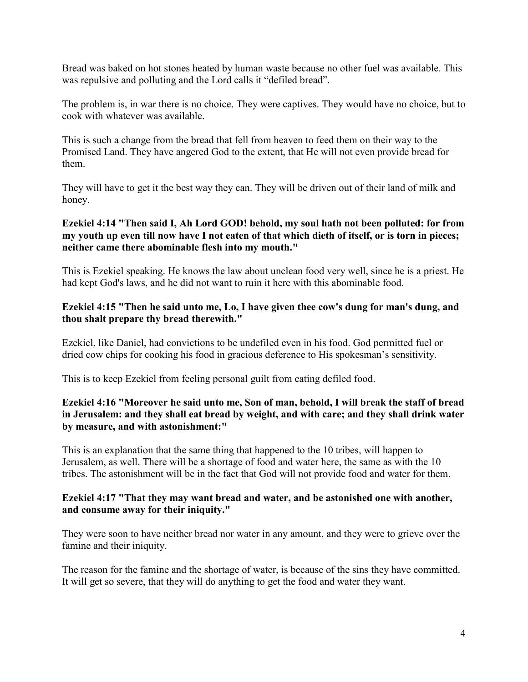Bread was baked on hot stones heated by human waste because no other fuel was available. This was repulsive and polluting and the Lord calls it "defiled bread".

The problem is, in war there is no choice. They were captives. They would have no choice, but to cook with whatever was available.

This is such a change from the bread that fell from heaven to feed them on their way to the Promised Land. They have angered God to the extent, that He will not even provide bread for them.

They will have to get it the best way they can. They will be driven out of their land of milk and honey.

# **Ezekiel 4:14 "Then said I, Ah Lord GOD! behold, my soul hath not been polluted: for from my youth up even till now have I not eaten of that which dieth of itself, or is torn in pieces; neither came there abominable flesh into my mouth."**

This is Ezekiel speaking. He knows the law about unclean food very well, since he is a priest. He had kept God's laws, and he did not want to ruin it here with this abominable food.

#### **Ezekiel 4:15 "Then he said unto me, Lo, I have given thee cow's dung for man's dung, and thou shalt prepare thy bread therewith."**

Ezekiel, like Daniel, had convictions to be undefiled even in his food. God permitted fuel or dried cow chips for cooking his food in gracious deference to His spokesman's sensitivity.

This is to keep Ezekiel from feeling personal guilt from eating defiled food.

### **Ezekiel 4:16 "Moreover he said unto me, Son of man, behold, I will break the staff of bread in Jerusalem: and they shall eat bread by weight, and with care; and they shall drink water by measure, and with astonishment:"**

This is an explanation that the same thing that happened to the 10 tribes, will happen to Jerusalem, as well. There will be a shortage of food and water here, the same as with the 10 tribes. The astonishment will be in the fact that God will not provide food and water for them.

#### **Ezekiel 4:17 "That they may want bread and water, and be astonished one with another, and consume away for their iniquity."**

They were soon to have neither bread nor water in any amount, and they were to grieve over the famine and their iniquity.

The reason for the famine and the shortage of water, is because of the sins they have committed. It will get so severe, that they will do anything to get the food and water they want.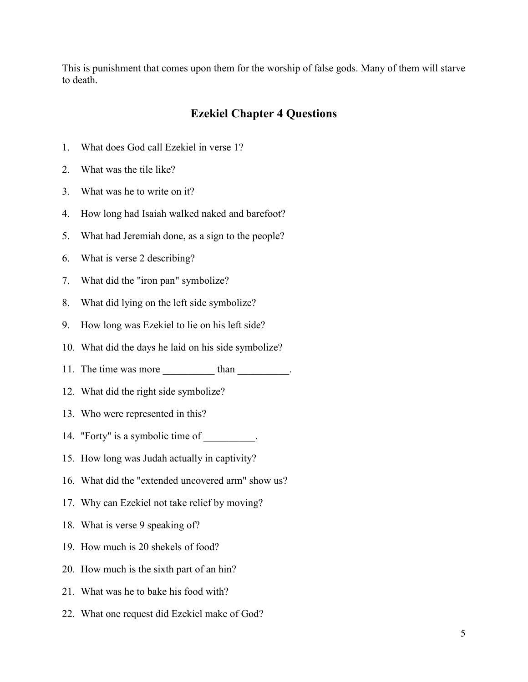This is punishment that comes upon them for the worship of false gods. Many of them will starve to death.

# **Ezekiel Chapter 4 Questions**

- 1. What does God call Ezekiel in verse 1?
- 2. What was the tile like?
- 3. What was he to write on it?
- 4. How long had Isaiah walked naked and barefoot?
- 5. What had Jeremiah done, as a sign to the people?
- 6. What is verse 2 describing?
- 7. What did the "iron pan" symbolize?
- 8. What did lying on the left side symbolize?
- 9. How long was Ezekiel to lie on his left side?
- 10. What did the days he laid on his side symbolize?
- 11. The time was more than than the study of the study of the study of the study of the study of the study of the study of the study of the study of the study of the study of the study of the study of the study of the stud
- 12. What did the right side symbolize?
- 13. Who were represented in this?
- 14. "Forty" is a symbolic time of  $\blacksquare$ .
- 15. How long was Judah actually in captivity?
- 16. What did the "extended uncovered arm" show us?
- 17. Why can Ezekiel not take relief by moving?
- 18. What is verse 9 speaking of?
- 19. How much is 20 shekels of food?
- 20. How much is the sixth part of an hin?
- 21. What was he to bake his food with?
- 22. What one request did Ezekiel make of God?